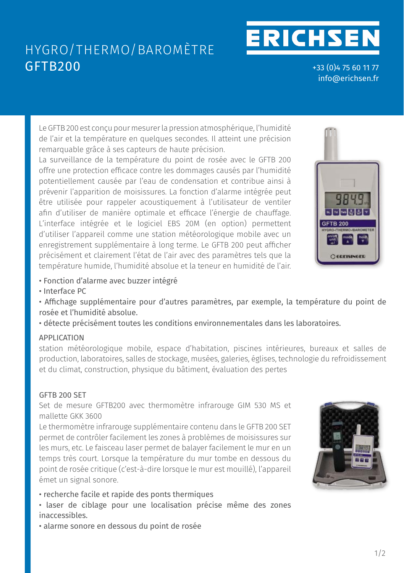# HYGRO/THERMO/BAROMÈTRE **ISO** GFTB200 **AUTO**OFF

**O / S-**CORR

+33 (0)4 75 60 11 77 ○ info@erichsen.fr

**ERICHSEN** 

Le GFTB 200 est conçu pour mesurer la pression atmosphérique, l'humidité de l'air et la température en quelques secondes. Il atteint une précision remarquable grâce à ses capteurs de haute précision. **D**<br>Display<br>Bir

La surveillance de la température du point de rosée avec le GFTB 200 offre une protection efficace contre les dommages causés par l'humidité potentiellement causée par l'eau de condensation et contribue ainsi à .<br>prévenir l'apparition de moisissures. La fonction d'alarme intégrée peut être utilisée pour rappeler acoustiquement à l'utilisateur de ventiler **MIN** MAX The GFTB 200 is designed for measuring air pressure, air humidity and temperature within **Tendency indicator:** Air pressure rising/falling (for barometer) afin d'utiliser de manière optimale et efficace l'énergie de chauffage. L'interface intégrée et le logiciel EBS 20M (en option) permettent d'utiliser l'appareil comme une station météorologique mobile avec un enregistrement supplémentaire à long terme. Le GFTB 200 peut afficher précisément et clairement l'état de l'air avec des paramètres tels que la **les conditions de la des l'a** température humide, l'humidité absolue et la teneur en humidité de l'air. **Neuronaliste de l'air.** tic<br>Dr<br>O ALARM PROTECTION, ALARM PROTECTION, PROTECTION, PROTECTION, PROTECTION, PROTECTION, PROTECTION, PROTECTION, PROTECTION, PROTECTION, PROTECTION, PROTECTION, PROTECTION, PROTECTION, PROTECTION, PROTECTION, PROTECTION, PROTEC d<br>er<br>is<br>is **ALARM PROTECT** AND PROTECTION CONTINUITY CONTINUITY CONTINUITY CONTINUITY AND ALARM PROTECTION CONTINUITY AND ALARM PROTECTION CONTINUITY AND RELATION DU ment caasee pa **General:** Ser de maniere optimate et emcace renergie de ch appareit comme une station meteorologique mobile station with a dition with a long-term recording 200 pour of



- $\bullet$  Fonction d'alarme avec buzzer intégré
- Interface PC  $rac{1}{\sqrt{2}}$ nology, construction, building physics, loss assessment

• Affichage supplémentaire pour d'autres paramètres, par exemple, la température du point de **General:** rosée et l'humidité absolue. **Measuring ranges** The GFTB 200 is designed for measuring air pressure, air humidity and temperature within **Specifications:** Hygro-/Thermo-/Barometer with USB-interface kit, consisting of: e, la temperature du

 $\cdot$  détecte précisément toutes les conditions environnementales dans les laboratoires. récisément toutes les conditions environnementales dans les laboratoires. e<br>.e<br>.l

### APPLICATION  **Air pressure:** 10.0 ... 1100.0 mbar

station météorologique mobile, espace d'habitation, piscines intérieures, bureaux et salles de production, laboratoires, salles de stockage, musées, galeries, églises, technologie du refroidissement et du climat, construction, physique du bâtiment, évaluation des pertes **n**<br>ព្រៃ<br>0. étéorologique mobile, espace d'habitation, piscines intérieures, bureaux et salles a, construction, physique au bathlent, evaluation als pertes **ISO-WPF4**  $\cup$ 

### GFTB 200 SET **Resolution:** 0.1 % RH; 0.1 °C or 0.1 °F, 0.1 mbar

Set de mesure GFTB200 avec thermomètre infrarouge GIM 530 MS et mallette GKK 3600 **Accuracy: (±1 digit) (at nominal temperature = 25 °C)** sure dribzuu avec thermometre initialus

Le thermomètre infrarouge supplémentaire contenu dans le GFTB 200 SET permet de contrôler facilement les zones à problèmes de moisissures sur **Recommended range: 100** ... 100 ... 100 les murs, etc. Le faisceau laser permet de balayer facilement le mur en un temps très court. Lorsque la température du mur tombe en dessous du point de rosée critique (c'est-à-dire lorsque le mur est mouillé), l'appareil émet un signal sonore.<br> **Display with a signal with a signal with a P**<br> **P**<br> **P**  $\alpha$  court. Lorsque la temperature du mur tombe en dessous r<br>**TEMP**<br>PROBE **Complete:** Packarion Prior tc. Le faisceau taser perfilet de batayer f



**·** laser de ciblage pour une localisation précise même des zones inaccessibles. **TEMPERATURE PROBE**  $\mathcal{L} = 2.5$   $\mathcal{L} = 2.5$   $\mathcal{L} = 2.5$   $\mathcal{L} = 2.5$   $\mathcal{L} = 2.5$   $\mathcal{L} = 2.5$   $\mathcal{L} = 2.5$   $\mathcal{L} = 2.5$   $\mathcal{L} = 2.5$   $\mathcal{L} = 2.5$   $\mathcal{L} = 2.5$   $\mathcal{L} = 2.5$   $\mathcal{L} = 2.5$   $\mathcal{L} = 2.5$   $\mathcal{L} = 2.5$   $\mathcal{L} = 2.5$ working conditions and signal conditions in the conditions in the conditions, and in the conditions, and *conditions* **Test**,  $\overline{25}$ ,  $\overline{25}$ , 0 ...  $\overline{27}$  ... 80  $\overline{27}$  ... 80  $\overline{27}$  ... 80  $\overline{27}$ **GFTB 200 SET**  *Art. no. 600163*

 $\cdot$  alarme sonore en dessous du point de rosée **Air pressure:**  $\frac{1}{2}$ . 11.5 mbar (750  $\frac{1}{2}$ . 1100 mbar)